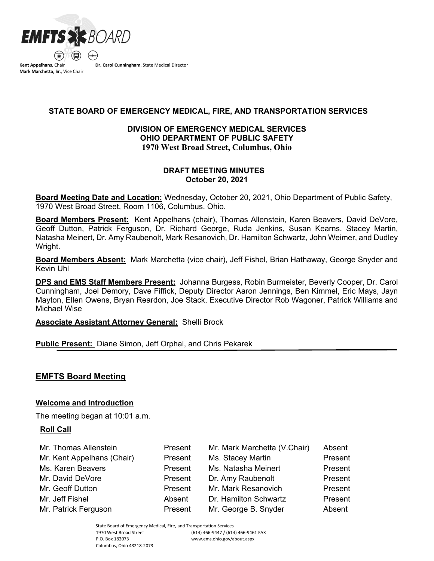

**Kent Appelhans**, Chair **Mark Marchetta, Sr**., Vice Chair **Dr. Carol Cunningham**, State Medical Director

# **STATE BOARD OF EMERGENCY MEDICAL, FIRE, AND TRANSPORTATION SERVICES**

# **DIVISION OF EMERGENCY MEDICAL SERVICES OHIO DEPARTMENT OF PUBLIC SAFETY 1970 West Broad Street, Columbus, Ohio**

# **DRAFT MEETING MINUTES October 20, 2021**

**Board Meeting Date and Location:** Wednesday, October 20, 2021, Ohio Department of Public Safety, 1970 West Broad Street, Room 1106, Columbus, Ohio.

**Board Members Present:** Kent Appelhans (chair), Thomas Allenstein, Karen Beavers, David DeVore, Geoff Dutton, Patrick Ferguson, Dr. Richard George, Ruda Jenkins, Susan Kearns, Stacey Martin, Natasha Meinert, Dr. Amy Raubenolt, Mark Resanovich, Dr. Hamilton Schwartz, John Weimer, and Dudley Wright.

**Board Members Absent:** Mark Marchetta (vice chair), Jeff Fishel, Brian Hathaway, George Snyder and Kevin Uhl

**DPS and EMS Staff Members Present:** Johanna Burgess, Robin Burmeister, Beverly Cooper, Dr. Carol Cunningham, Joel Demory, Dave Fiffick, Deputy Director Aaron Jennings, Ben Kimmel, Eric Mays, Jayn Mayton, Ellen Owens, Bryan Reardon, Joe Stack, Executive Director Rob Wagoner, Patrick Williams and Michael Wise

### **Associate Assistant Attorney General:** Shelli Brock

# **Public Present:** Diane Simon, Jeff Orphal, and Chris Pekarek

# **EMFTS Board Meeting**

### **Welcome and Introduction**

The meeting began at 10:01 a.m.

### **Roll Call**

| Mr. Thomas Allenstein      | Present | Mr. Mark Marchetta (V.Chair) | Absent  |
|----------------------------|---------|------------------------------|---------|
| Mr. Kent Appelhans (Chair) | Present | Ms. Stacey Martin            | Present |
| Ms. Karen Beavers          | Present | Ms. Natasha Meinert          | Present |
| Mr. David DeVore           | Present | Dr. Amy Raubenolt            | Present |
| Mr. Geoff Dutton           | Present | Mr. Mark Resanovich          | Present |
| Mr. Jeff Fishel            | Absent  | Dr. Hamilton Schwartz        | Present |
| Mr. Patrick Ferguson       | Present | Mr. George B. Snyder         | Absent  |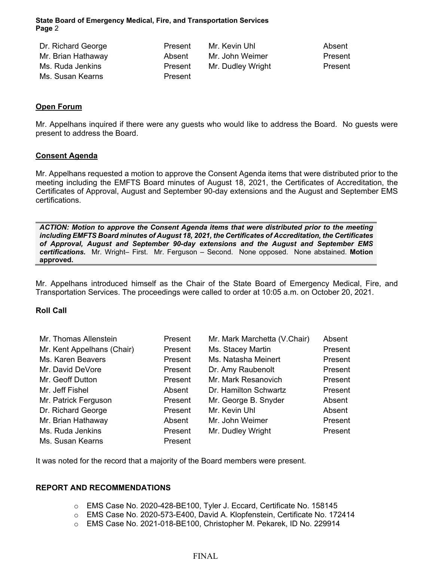| Dr. Richard George | Present | Mr. Kevin Uhl     | Absent  |
|--------------------|---------|-------------------|---------|
| Mr. Brian Hathaway | Absent  | Mr. John Weimer   | Present |
| Ms. Ruda Jenkins   | Present | Mr. Dudley Wright | Present |
| Ms. Susan Kearns   | Present |                   |         |

### **Open Forum**

Mr. Appelhans inquired if there were any guests who would like to address the Board. No guests were present to address the Board.

#### **Consent Agenda**

Mr. Appelhans requested a motion to approve the Consent Agenda items that were distributed prior to the meeting including the EMFTS Board minutes of August 18, 2021, the Certificates of Accreditation, the Certificates of Approval, August and September 90-day extensions and the August and September EMS certifications.

*ACTION: Motion to approve the Consent Agenda items that were distributed prior to the meeting including EMFTS Board minutes of August 18, 2021, the Certificates of Accreditation, the Certificates of Approval, August and September 90-day extensions and the August and September EMS certifications.* Mr. Wright– First. Mr. Ferguson – Second. None opposed. None abstained. **Motion approved.**

Mr. Appelhans introduced himself as the Chair of the State Board of Emergency Medical, Fire, and Transportation Services. The proceedings were called to order at 10:05 a.m. on October 20, 2021.

### **Roll Call**

| Mr. Thomas Allenstein      | Present | Mr. Mark Marchetta (V.Chair) | Absent  |
|----------------------------|---------|------------------------------|---------|
| Mr. Kent Appelhans (Chair) | Present | Ms. Stacey Martin            | Present |
| Ms. Karen Beavers          | Present | Ms. Natasha Meinert          | Present |
| Mr. David DeVore           | Present | Dr. Amy Raubenolt            | Present |
| Mr. Geoff Dutton           | Present | Mr. Mark Resanovich          | Present |
| Mr. Jeff Fishel            | Absent  | Dr. Hamilton Schwartz        | Present |
| Mr. Patrick Ferguson       | Present | Mr. George B. Snyder         | Absent  |
| Dr. Richard George         | Present | Mr. Kevin Uhl                | Absent  |
| Mr. Brian Hathaway         | Absent  | Mr. John Weimer              | Present |
| Ms. Ruda Jenkins           | Present | Mr. Dudley Wright            | Present |
| Ms. Susan Kearns           | Present |                              |         |

It was noted for the record that a majority of the Board members were present.

### **REPORT AND RECOMMENDATIONS**

- o EMS Case No. 2020-428-BE100, Tyler J. Eccard, Certificate No. 158145
- o EMS Case No. 2020-573-E400, David A. Klopfenstein, Certificate No. 172414
- o EMS Case No. 2021-018-BE100, Christopher M. Pekarek, ID No. 229914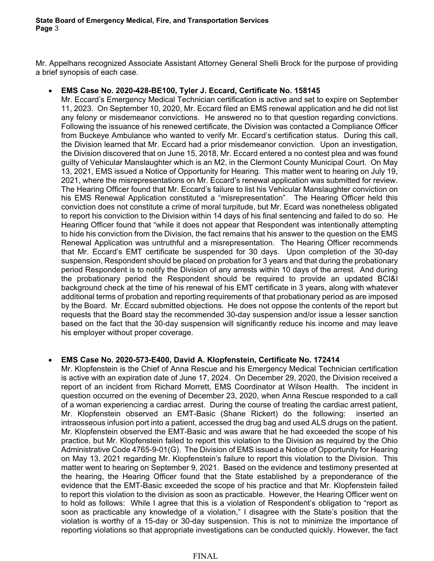Mr. Appelhans recognized Associate Assistant Attorney General Shelli Brock for the purpose of providing a brief synopsis of each case.

• **EMS Case No. 2020-428-BE100, Tyler J. Eccard, Certificate No. 158145**

Mr. Eccard's Emergency Medical Technician certification is active and set to expire on September 11, 2023. On September 10, 2020, Mr. Eccard filed an EMS renewal application and he did not list any felony or misdemeanor convictions. He answered no to that question regarding convictions. Following the issuance of his renewed certificate, the Division was contacted a Compliance Officer from Buckeye Ambulance who wanted to verify Mr. Eccard's certification status. During this call, the Division learned that Mr. Eccard had a prior misdemeanor conviction. Upon an investigation, the Division discovered that on June 15, 2018, Mr. Eccard entered a no contest plea and was found guilty of Vehicular Manslaughter which is an M2, in the Clermont County Municipal Court. On May 13, 2021, EMS issued a Notice of Opportunity for Hearing. This matter went to hearing on July 19, 2021, where the misrepresentations on Mr. Eccard's renewal application was submitted for review. The Hearing Officer found that Mr. Eccard's failure to list his Vehicular Manslaughter conviction on his EMS Renewal Application constituted a "misrepresentation". The Hearing Officer held this conviction does not constitute a crime of moral turpitude, but Mr. Ecard was nonetheless obligated to report his conviction to the Division within 14 days of his final sentencing and failed to do so. He Hearing Officer found that "while it does not appear that Respondent was intentionally attempting to hide his conviction from the Division, the fact remains that his answer to the question on the EMS Renewal Application was untruthful and a misrepresentation. The Hearing Officer recommends that Mr. Eccard's EMT certificate be suspended for 30 days. Upon completion of the 30-day suspension, Respondent should be placed on probation for 3 years and that during the probationary period Respondent is to notify the Division of any arrests within 10 days of the arrest. And during the probationary period the Respondent should be required to provide an updated BCI&I background check at the time of his renewal of his EMT certificate in 3 years, along with whatever additional terms of probation and reporting requirements of that probationary period as are imposed by the Board. Mr. Eccard submitted objections. He does not oppose the contents of the report but requests that the Board stay the recommended 30-day suspension and/or issue a lesser sanction based on the fact that the 30-day suspension will significantly reduce his income and may leave his employer without proper coverage.

# • **EMS Case No. 2020-573-E400, David A. Klopfenstein, Certificate No. 172414**

Mr. Klopfenstein is the Chief of Anna Rescue and his Emergency Medical Technician certification is active with an expiration date of June 17, 2024. On December 29, 2020, the Division received a report of an incident from Richard Morrett, EMS Coordinator at Wilson Health. The incident in question occurred on the evening of December 23, 2020, when Anna Rescue responded to a call of a woman experiencing a cardiac arrest. During the course of treating the cardiac arrest patient, Mr. Klopfenstein observed an EMT-Basic (Shane Rickert) do the following: inserted an intraosseous infusion port into a patient, accessed the drug bag and used ALS drugs on the patient. Mr. Klopfenstein observed the EMT-Basic and was aware that he had exceeded the scope of his practice, but Mr. Klopfenstein failed to report this violation to the Division as required by the Ohio Administrative Code 4765-9-01(G). The Division of EMS issued a Notice of Opportunity for Hearing on May 13, 2021 regarding Mr. Klopfenstein's failure to report this violation to the Division. This matter went to hearing on September 9, 2021. Based on the evidence and testimony presented at the hearing, the Hearing Officer found that the State established by a preponderance of the evidence that the EMT-Basic exceeded the scope of his practice and that Mr. Klopfenstein failed to report this violation to the division as soon as practicable. However, the Hearing Officer went on to hold as follows: While I agree that this is a violation of Respondent's obligation to "report as soon as practicable any knowledge of a violation," I disagree with the State's position that the violation is worthy of a 15-day or 30-day suspension. This is not to minimize the importance of reporting violations so that appropriate investigations can be conducted quickly. However, the fact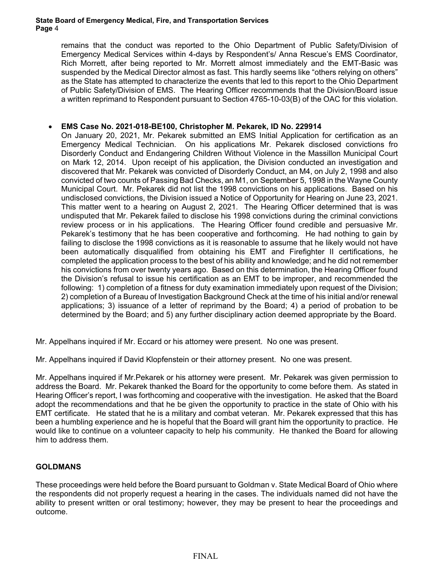remains that the conduct was reported to the Ohio Department of Public Safety/Division of Emergency Medical Services within 4-days by Respondent's/ Anna Rescue's EMS Coordinator, Rich Morrett, after being reported to Mr. Morrett almost immediately and the EMT-Basic was suspended by the Medical Director almost as fast. This hardly seems like "others relying on others" as the State has attempted to characterize the events that led to this report to the Ohio Department of Public Safety/Division of EMS. The Hearing Officer recommends that the Division/Board issue a written reprimand to Respondent pursuant to Section 4765-10-03(B) of the OAC for this violation.

# • **EMS Case No. 2021-018-BE100, Christopher M. Pekarek, ID No. 229914**

On January 20, 2021, Mr. Pekarek submitted an EMS Initial Application for certification as an Emergency Medical Technician. On his applications Mr. Pekarek disclosed convictions fro Disorderly Conduct and Endangering Children Without Violence in the Massillon Municipal Court on Mark 12, 2014. Upon receipt of his application, the Division conducted an investigation and discovered that Mr. Pekarek was convicted of Disorderly Conduct, an M4, on July 2, 1998 and also convicted of two counts of Passing Bad Checks, an M1, on September 5, 1998 in the Wayne County Municipal Court. Mr. Pekarek did not list the 1998 convictions on his applications. Based on his undisclosed convictions, the Division issued a Notice of Opportunity for Hearing on June 23, 2021. This matter went to a hearing on August 2, 2021. The Hearing Officer determined that is was undisputed that Mr. Pekarek failed to disclose his 1998 convictions during the criminal convictions review process or in his applications. The Hearing Officer found credible and persuasive Mr. Pekarek's testimony that he has been cooperative and forthcoming. He had nothing to gain by failing to disclose the 1998 convictions as it is reasonable to assume that he likely would not have been automatically disqualified from obtaining his EMT and Firefighter II certifications, he completed the application process to the best of his ability and knowledge; and he did not remember his convictions from over twenty years ago. Based on this determination, the Hearing Officer found the Division's refusal to issue his certification as an EMT to be improper, and recommended the following: 1) completion of a fitness for duty examination immediately upon request of the Division; 2) completion of a Bureau of Investigation Background Check at the time of his initial and/or renewal applications; 3) issuance of a letter of reprimand by the Board; 4) a period of probation to be determined by the Board; and 5) any further disciplinary action deemed appropriate by the Board.

Mr. Appelhans inquired if Mr. Eccard or his attorney were present. No one was present.

Mr. Appelhans inquired if David Klopfenstein or their attorney present. No one was present.

Mr. Appelhans inquired if Mr.Pekarek or his attorney were present. Mr. Pekarek was given permission to address the Board. Mr. Pekarek thanked the Board for the opportunity to come before them. As stated in Hearing Officer's report, I was forthcoming and cooperative with the investigation. He asked that the Board adopt the recommendations and that he be given the opportunity to practice in the state of Ohio with his EMT certificate. He stated that he is a military and combat veteran. Mr. Pekarek expressed that this has been a humbling experience and he is hopeful that the Board will grant him the opportunity to practice. He would like to continue on a volunteer capacity to help his community. He thanked the Board for allowing him to address them.

# **GOLDMANS**

These proceedings were held before the Board pursuant to Goldman v. State Medical Board of Ohio where the respondents did not properly request a hearing in the cases. The individuals named did not have the ability to present written or oral testimony; however, they may be present to hear the proceedings and outcome.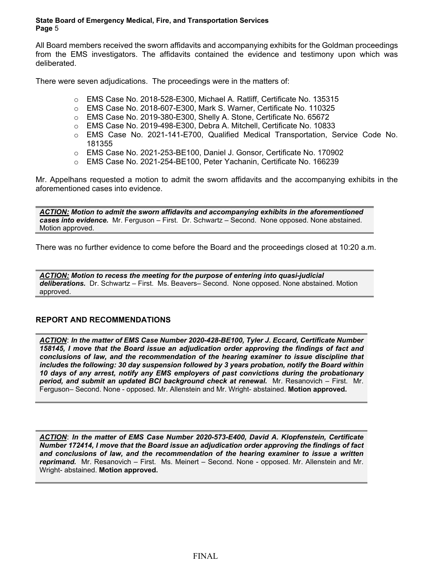All Board members received the sworn affidavits and accompanying exhibits for the Goldman proceedings from the EMS investigators. The affidavits contained the evidence and testimony upon which was deliberated.

There were seven adjudications. The proceedings were in the matters of:

- o EMS Case No. 2018-528-E300, Michael A. Ratliff, Certificate No. 135315
- o EMS Case No. 2018-607-E300, Mark S. Warner, Certificate No. 110325
- o EMS Case No. 2019-380-E300, Shelly A. Stone, Certificate No. 65672
- o EMS Case No. 2019-498-E300, Debra A. Mitchell, Certificate No. 10833
- o EMS Case No. 2021-141-E700, Qualified Medical Transportation, Service Code No. 181355
- o EMS Case No. 2021-253-BE100, Daniel J. Gonsor, Certificate No. 170902
- o EMS Case No. 2021-254-BE100, Peter Yachanin, Certificate No. 166239

Mr. Appelhans requested a motion to admit the sworn affidavits and the accompanying exhibits in the aforementioned cases into evidence.

*ACTION: Motion to admit the sworn affidavits and accompanying exhibits in the aforementioned cases into evidence.* Mr. Ferguson – First. Dr. Schwartz – Second. None opposed. None abstained. Motion approved.

There was no further evidence to come before the Board and the proceedings closed at 10:20 a.m.

*ACTION: Motion to recess the meeting for the purpose of entering into quasi-judicial deliberations.* Dr. Schwartz – First. Ms. Beavers– Second. None opposed. None abstained. Motion approved.

# **REPORT AND RECOMMENDATIONS**

*ACTION*: *In the matter of EMS Case Number 2020-428-BE100, Tyler J. Eccard, Certificate Number 158145, I move that the Board issue an adjudication order approving the findings of fact and conclusions of law, and the recommendation of the hearing examiner to issue discipline that includes the following: 30 day suspension followed by 3 years probation, notify the Board within 10 days of any arrest, notify any EMS employers of past convictions during the probationary period, and submit an updated BCI background check at renewal.* Mr. Resanovich – First. Mr. Ferguson– Second. None - opposed. Mr. Allenstein and Mr. Wright- abstained. **Motion approved.**

*ACTION*: *In the matter of EMS Case Number 2020-573-E400, David A. Klopfenstein, Certificate Number 172414, I move that the Board issue an adjudication order approving the findings of fact and conclusions of law, and the recommendation of the hearing examiner to issue a written reprimand.* Mr. Resanovich – First. Ms. Meinert – Second. None - opposed. Mr. Allenstein and Mr. Wright- abstained. **Motion approved.**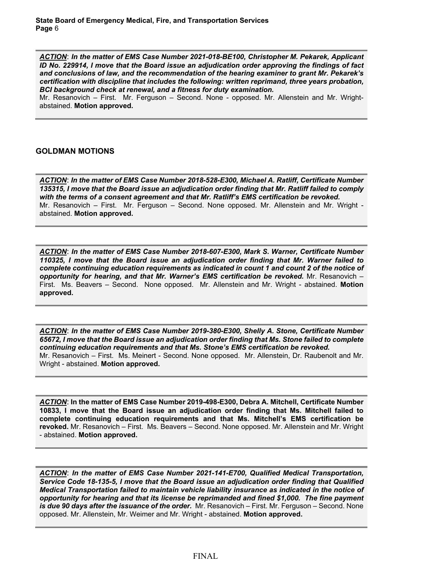*ACTION*: *In the matter of EMS Case Number 2021-018-BE100, Christopher M. Pekarek, Applicant ID No. 229914, I move that the Board issue an adjudication order approving the findings of fact and conclusions of law, and the recommendation of the hearing examiner to grant Mr. Pekarek's certification with discipline that includes the following: written reprimand, three years probation, BCI background check at renewal, and a fitness for duty examination.* 

Mr. Resanovich – First. Mr. Ferguson – Second. None - opposed. Mr. Allenstein and Mr. Wrightabstained. **Motion approved.**

### **GOLDMAN MOTIONS**

*ACTION*: *In the matter of EMS Case Number 2018-528-E300, Michael A. Ratliff, Certificate Number 135315, I move that the Board issue an adjudication order finding that Mr. Ratliff failed to comply with the terms of a consent agreement and that Mr. Ratliff's EMS certification be revoked.* Mr. Resanovich – First. Mr. Ferguson – Second. None opposed. Mr. Allenstein and Mr. Wright abstained. **Motion approved.**

*ACTION*: *In the matter of EMS Case Number 2018-607-E300, Mark S. Warner, Certificate Number 110325, I move that the Board issue an adjudication order finding that Mr. Warner failed to complete continuing education requirements as indicated in count 1 and count 2 of the notice of opportunity for hearing, and that Mr. Warner's EMS certification be revoked.* Mr. Resanovich – First. Ms. Beavers – Second. None opposed. Mr. Allenstein and Mr. Wright - abstained. **Motion approved.**

*ACTION*: *In the matter of EMS Case Number 2019-380-E300, Shelly A. Stone, Certificate Number 65672, I move that the Board issue an adjudication order finding that Ms. Stone failed to complete continuing education requirements and that Ms. Stone's EMS certification be revoked.* Mr. Resanovich – First. Ms. Meinert - Second. None opposed. Mr. Allenstein, Dr. Raubenolt and Mr. Wright - abstained. **Motion approved.**

*ACTION*: **In the matter of EMS Case Number 2019-498-E300, Debra A. Mitchell, Certificate Number 10833, I move that the Board issue an adjudication order finding that Ms. Mitchell failed to complete continuing education requirements and that Ms. Mitchell's EMS certification be revoked.** Mr. Resanovich – First. Ms. Beavers – Second. None opposed. Mr. Allenstein and Mr. Wright - abstained. **Motion approved.**

*ACTION*: *In the matter of EMS Case Number 2021-141-E700, Qualified Medical Transportation, Service Code 18-135-5, I move that the Board issue an adjudication order finding that Qualified Medical Transportation failed to maintain vehicle liability insurance as indicated in the notice of opportunity for hearing and that its license be reprimanded and fined \$1,000. The fine payment is due 90 days after the issuance of the order.* Mr. Resanovich – First. Mr. Ferguson – Second. None opposed. Mr. Allenstein, Mr. Weimer and Mr. Wright - abstained. **Motion approved.**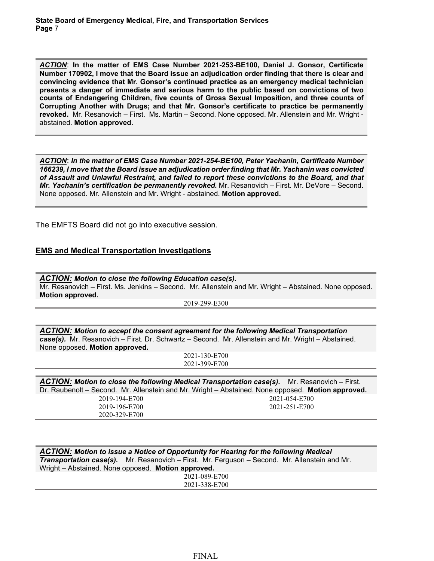*ACTION*: **In the matter of EMS Case Number 2021-253-BE100, Daniel J. Gonsor, Certificate Number 170902, I move that the Board issue an adjudication order finding that there is clear and convincing evidence that Mr. Gonsor's continued practice as an emergency medical technician presents a danger of immediate and serious harm to the public based on convictions of two counts of Endangering Children, five counts of Gross Sexual Imposition, and three counts of Corrupting Another with Drugs; and that Mr. Gonsor's certificate to practice be permanently revoked.** Mr. Resanovich – First. Ms. Martin – Second. None opposed. Mr. Allenstein and Mr. Wright abstained. **Motion approved.**

*ACTION*: *In the matter of EMS Case Number 2021-254-BE100, Peter Yachanin, Certificate Number 166239, I move that the Board issue an adjudication order finding that Mr. Yachanin was convicted of Assault and Unlawful Restraint, and failed to report these convictions to the Board, and that Mr. Yachanin's certification be permanently revoked.* Mr. Resanovich – First. Mr. DeVore – Second. None opposed. Mr. Allenstein and Mr. Wright - abstained. **Motion approved.**

The EMFTS Board did not go into executive session.

## **EMS and Medical Transportation Investigations**

*ACTION: Motion to close the following Education case(s).*  Mr. Resanovich – First. Ms. Jenkins – Second. Mr. Allenstein and Mr. Wright – Abstained. None opposed. **Motion approved.**

2019-299-E300

*ACTION: Motion to accept the consent agreement for the following Medical Transportation case(s).* Mr. Resanovich – First. Dr. Schwartz – Second. Mr. Allenstein and Mr. Wright – Abstained. None opposed. **Motion approved.**

> 2021-130-E700 2021-399-E700

| ACTION: Motion to close the following Medical Transportation case(s). Mr. Resanovich – First.<br>Dr. Raubenolt – Second. Mr. Allenstein and Mr. Wright – Abstained. None opposed. Motion approved. |               |
|----------------------------------------------------------------------------------------------------------------------------------------------------------------------------------------------------|---------------|
| 2019-194-E700                                                                                                                                                                                      | 2021-054-E700 |
| 2019-196-E700                                                                                                                                                                                      | 2021-251-E700 |
| 2020-329-E700                                                                                                                                                                                      |               |

| <b>ACTION:</b> Motion to issue a Notice of Opportunity for Hearing for the following Medical         |  |  |
|------------------------------------------------------------------------------------------------------|--|--|
| <b>Transportation case(s).</b> Mr. Resanovich – First. Mr. Ferguson – Second. Mr. Allenstein and Mr. |  |  |
| Wright – Abstained. None opposed. Motion approved.                                                   |  |  |
| 2021-089-E700                                                                                        |  |  |
| 2021-338-E700                                                                                        |  |  |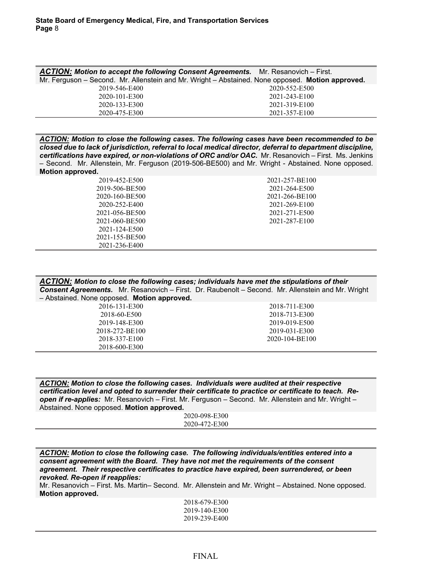| ACTION: Motion to accept the following Consent Agreements. Mr. Resanovich - First. |                                                                                                  |
|------------------------------------------------------------------------------------|--------------------------------------------------------------------------------------------------|
|                                                                                    | Mr. Ferguson – Second. Mr. Allenstein and Mr. Wright – Abstained. None opposed. Motion approved. |
| 2019-546-E400                                                                      | 2020-552-E500                                                                                    |
| 2020-101-E300                                                                      | 2021-243-E100                                                                                    |
| 2020-133-E300                                                                      | 2021-319-E100                                                                                    |
| 2020-475-E300                                                                      | 2021-357-E100                                                                                    |

*ACTION: Motion to close the following cases. The following cases have been recommended to be closed due to lack of jurisdiction, referral to local medical director, deferral to department discipline, certifications have expired, or non-violations of ORC and/or OAC.* Mr. Resanovich – First. Ms. Jenkins – Second. Mr. Allenstein, Mr. Ferguson (2019-506-BE500) and Mr. Wright - Abstained. None opposed. **Motion approved.**

| 2019-452-E500  | 2021-257-BE100 |
|----------------|----------------|
| 2019-506-BE500 | 2021-264-E500  |
| 2020-160-BE500 | 2021-266-BE100 |
| 2020-252-E400  | 2021-269-E100  |
| 2021-056-BE500 | 2021-271-E500  |
| 2021-060-BE500 | 2021-287-E100  |
| 2021-124-E500  |                |
| 2021-155-BE500 |                |
| 2021-236-E400  |                |

| ACTION: Motion to close the following cases; individuals have met the stipulations of their              |               |  |
|----------------------------------------------------------------------------------------------------------|---------------|--|
| <b>Consent Agreements.</b> Mr. Resanovich – First. Dr. Raubenolt – Second. Mr. Allenstein and Mr. Wright |               |  |
| - Abstained. None opposed. Motion approved.                                                              |               |  |
| 2016-131-E300                                                                                            | 2018-711-E300 |  |

| 2018-60-E500   | 2018-713-E300  |
|----------------|----------------|
| 2019-148-E300  | 2019-019-E500  |
| 2018-272-BE100 | 2019-031-E300  |
| 2018-337-E100  | 2020-104-BE100 |
| 2018-600-E300  |                |

*ACTION: Motion to close the following cases. Individuals were audited at their respective certification level and opted to surrender their certificate to practice or certificate to teach. Reopen if re-applies:* Mr. Resanovich – First. Mr. Ferguson – Second. Mr. Allenstein and Mr. Wright – Abstained. None opposed. **Motion approved.**

2020-098-E300 2020-472-E300

*ACTION: Motion to close the following case. The following individuals/entities entered into a consent agreement with the Board. They have not met the requirements of the consent agreement. Their respective certificates to practice have expired, been surrendered, or been revoked. Re-open if reapplies:*

Mr. Resanovich – First. Ms. Martin– Second. Mr. Allenstein and Mr. Wright – Abstained. None opposed. **Motion approved.**

> 2018-679-E300 2019-140-E300 2019-239-E400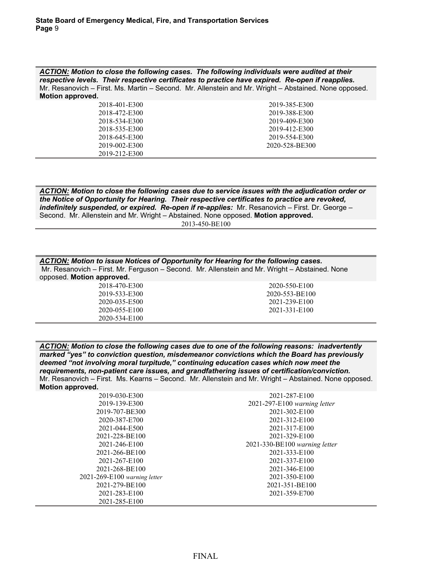*ACTION: Motion to close the following cases. The following individuals were audited at their respective levels. Their respective certificates to practice have expired. Re-open if reapplies.*  Mr. Resanovich – First. Ms. Martin – Second. Mr. Allenstein and Mr. Wright – Abstained. None opposed. **Motion approved.**

| 2018-401-E300 | 2019-385-E300  |
|---------------|----------------|
| 2018-472-E300 | 2019-388-E300  |
| 2018-534-E300 | 2019-409-E300  |
| 2018-535-E300 | 2019-412-E300  |
| 2018-645-E300 | 2019-554-E300  |
| 2019-002-E300 | 2020-528-BE300 |
| 2019-212-E300 |                |

*ACTION: Motion to close the following cases due to service issues with the adjudication order or the Notice of Opportunity for Hearing. Their respective certificates to practice are revoked, indefinitely suspended, or expired. Re-open if re-applies:* Mr. Resanovich – First. Dr. George – Second. Mr. Allenstein and Mr. Wright – Abstained. None opposed. **Motion approved.**

2013-450-BE100

| <b>ACTION:</b> Motion to issue Notices of Opportunity for Hearing for the following cases.<br>Mr. Resanovich - First. Mr. Ferguson - Second. Mr. Allenstein and Mr. Wright - Abstained. None |                |  |
|----------------------------------------------------------------------------------------------------------------------------------------------------------------------------------------------|----------------|--|
| opposed. Motion approved.                                                                                                                                                                    |                |  |
| 2018-470-E300                                                                                                                                                                                | 2020-550-E100  |  |
| 2019-533-E300                                                                                                                                                                                | 2020-553-BE100 |  |
| 2020-035-E500                                                                                                                                                                                | 2021-239-E100  |  |
| 2020-055-E100                                                                                                                                                                                | 2021-331-E100  |  |
| 2020-534-E100                                                                                                                                                                                |                |  |
|                                                                                                                                                                                              |                |  |

*ACTION: Motion to close the following cases due to one of the following reasons: inadvertently marked "yes" to conviction question, misdemeanor convictions which the Board has previously deemed "not involving moral turpitude," continuing education cases which now meet the requirements, non-patient care issues, and grandfathering issues of certification/conviction.*  Mr. Resanovich – First. Ms. Kearns – Second. Mr. Allenstein and Mr. Wright – Abstained. None opposed. **Motion approved.**

| 2019-030-E300                | 2021-287-E100                 |
|------------------------------|-------------------------------|
| 2019-139-E300                | 2021-297-E100 warning letter  |
| 2019-707-BE300               | 2021-302-E100                 |
| 2020-387-E700                | 2021-312-E100                 |
| 2021-044-E500                | 2021-317-E100                 |
| 2021-228-BE100               | 2021-329-E100                 |
| 2021-246-E100                | 2021-330-BE100 warning letter |
| 2021-266-BE100               | 2021-333-E100                 |
| 2021-267-E100                | 2021-337-E100                 |
| 2021-268-BE100               | 2021-346-E100                 |
| 2021-269-E100 warning letter | 2021-350-E100                 |
| 2021-279-BE100               | 2021-351-BE100                |
| 2021-283-E100                | 2021-359-E700                 |
| 2021-285-E100                |                               |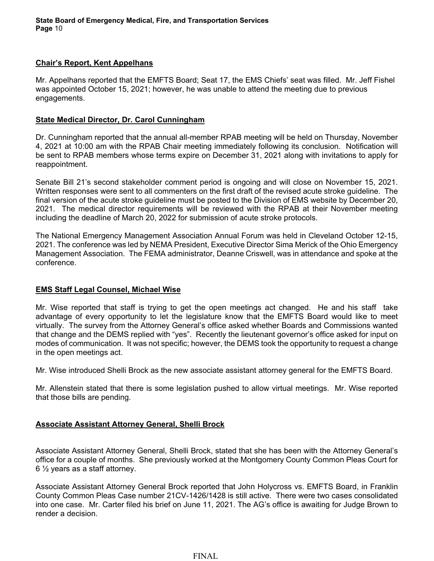# **Chair's Report, Kent Appelhans**

Mr. Appelhans reported that the EMFTS Board; Seat 17, the EMS Chiefs' seat was filled. Mr. Jeff Fishel was appointed October 15, 2021; however, he was unable to attend the meeting due to previous engagements.

## **State Medical Director, Dr. Carol Cunningham**

Dr. Cunningham reported that the annual all-member RPAB meeting will be held on Thursday, November 4, 2021 at 10:00 am with the RPAB Chair meeting immediately following its conclusion. Notification will be sent to RPAB members whose terms expire on December 31, 2021 along with invitations to apply for reappointment.

Senate Bill 21's second stakeholder comment period is ongoing and will close on November 15, 2021. Written responses were sent to all commenters on the first draft of the revised acute stroke guideline. The final version of the acute stroke guideline must be posted to the Division of EMS website by December 20, 2021. The medical director requirements will be reviewed with the RPAB at their November meeting including the deadline of March 20, 2022 for submission of acute stroke protocols.

The National Emergency Management Association Annual Forum was held in Cleveland October 12-15, 2021. The conference was led by NEMA President, Executive Director Sima Merick of the Ohio Emergency Management Association. The FEMA administrator, Deanne Criswell, was in attendance and spoke at the conference.

# **EMS Staff Legal Counsel, Michael Wise**

Mr. Wise reported that staff is trying to get the open meetings act changed. He and his staff take advantage of every opportunity to let the legislature know that the EMFTS Board would like to meet virtually. The survey from the Attorney General's office asked whether Boards and Commissions wanted that change and the DEMS replied with "yes". Recently the lieutenant governor's office asked for input on modes of communication. It was not specific; however, the DEMS took the opportunity to request a change in the open meetings act.

Mr. Wise introduced Shelli Brock as the new associate assistant attorney general for the EMFTS Board.

Mr. Allenstein stated that there is some legislation pushed to allow virtual meetings. Mr. Wise reported that those bills are pending.

# **Associate Assistant Attorney General, Shelli Brock**

Associate Assistant Attorney General, Shelli Brock, stated that she has been with the Attorney General's office for a couple of months. She previously worked at the Montgomery County Common Pleas Court for 6 ½ years as a staff attorney.

Associate Assistant Attorney General Brock reported that John Holycross vs. EMFTS Board, in Franklin County Common Pleas Case number 21CV-1426/1428 is still active. There were two cases consolidated into one case. Mr. Carter filed his brief on June 11, 2021. The AG's office is awaiting for Judge Brown to render a decision.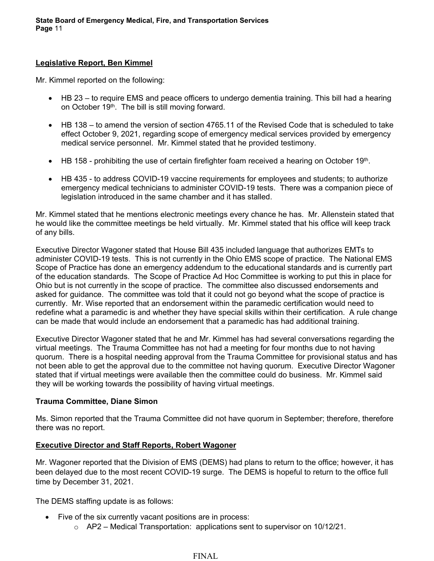## **Legislative Report, Ben Kimmel**

Mr. Kimmel reported on the following:

- HB 23 to require EMS and peace officers to undergo dementia training. This bill had a hearing on October 19<sup>th</sup>. The bill is still moving forward.
- HB 138 to amend the version of section 4765.11 of the Revised Code that is scheduled to take effect October 9, 2021, regarding scope of emergency medical services provided by emergency medical service personnel. Mr. Kimmel stated that he provided testimony.
- $\bullet$  HB 158 prohibiting the use of certain firefighter foam received a hearing on October 19th.
- HB 435 to address COVID-19 vaccine requirements for employees and students; to authorize emergency medical technicians to administer COVID-19 tests. There was a companion piece of legislation introduced in the same chamber and it has stalled.

Mr. Kimmel stated that he mentions electronic meetings every chance he has. Mr. Allenstein stated that he would like the committee meetings be held virtually. Mr. Kimmel stated that his office will keep track of any bills.

Executive Director Wagoner stated that House Bill 435 included language that authorizes EMTs to administer COVID-19 tests. This is not currently in the Ohio EMS scope of practice. The National EMS Scope of Practice has done an emergency addendum to the educational standards and is currently part of the education standards. The Scope of Practice Ad Hoc Committee is working to put this in place for Ohio but is not currently in the scope of practice. The committee also discussed endorsements and asked for guidance. The committee was told that it could not go beyond what the scope of practice is currently. Mr. Wise reported that an endorsement within the paramedic certification would need to redefine what a paramedic is and whether they have special skills within their certification. A rule change can be made that would include an endorsement that a paramedic has had additional training.

Executive Director Wagoner stated that he and Mr. Kimmel has had several conversations regarding the virtual meetings. The Trauma Committee has not had a meeting for four months due to not having quorum. There is a hospital needing approval from the Trauma Committee for provisional status and has not been able to get the approval due to the committee not having quorum. Executive Director Wagoner stated that if virtual meetings were available then the committee could do business. Mr. Kimmel said they will be working towards the possibility of having virtual meetings.

# **Trauma Committee, Diane Simon**

Ms. Simon reported that the Trauma Committee did not have quorum in September; therefore, therefore there was no report.

# **Executive Director and Staff Reports, Robert Wagoner**

Mr. Wagoner reported that the Division of EMS (DEMS) had plans to return to the office; however, it has been delayed due to the most recent COVID-19 surge. The DEMS is hopeful to return to the office full time by December 31, 2021.

The DEMS staffing update is as follows:

- Five of the six currently vacant positions are in process:
	- $\circ$  AP2 Medical Transportation: applications sent to supervisor on 10/12/21.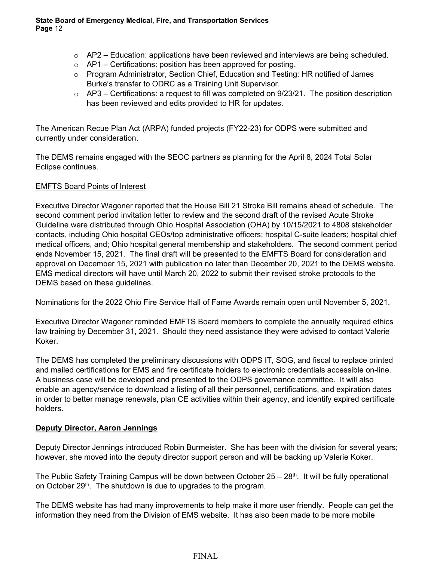- $\circ$  AP2 Education: applications have been reviewed and interviews are being scheduled.
- $\circ$  AP1 Certifications: position has been approved for posting.
- o Program Administrator, Section Chief, Education and Testing: HR notified of James Burke's transfer to ODRC as a Training Unit Supervisor.
- $\circ$  AP3 Certifications: a request to fill was completed on 9/23/21. The position description has been reviewed and edits provided to HR for updates.

The American Recue Plan Act (ARPA) funded projects (FY22-23) for ODPS were submitted and currently under consideration.

The DEMS remains engaged with the SEOC partners as planning for the April 8, 2024 Total Solar Eclipse continues.

# EMFTS Board Points of Interest

Executive Director Wagoner reported that the House Bill 21 Stroke Bill remains ahead of schedule. The second comment period invitation letter to review and the second draft of the revised Acute Stroke Guideline were distributed through Ohio Hospital Association (OHA) by 10/15/2021 to 4808 stakeholder contacts, including Ohio hospital CEOs/top administrative officers; hospital C-suite leaders; hospital chief medical officers, and; Ohio hospital general membership and stakeholders. The second comment period ends November 15, 2021. The final draft will be presented to the EMFTS Board for consideration and approval on December 15, 2021 with publication no later than December 20, 2021 to the DEMS website. EMS medical directors will have until March 20, 2022 to submit their revised stroke protocols to the DEMS based on these guidelines.

Nominations for the 2022 Ohio Fire Service Hall of Fame Awards remain open until November 5, 2021.

Executive Director Wagoner reminded EMFTS Board members to complete the annually required ethics law training by December 31, 2021. Should they need assistance they were advised to contact Valerie Koker.

The DEMS has completed the preliminary discussions with ODPS IT, SOG, and fiscal to replace printed and mailed certifications for EMS and fire certificate holders to electronic credentials accessible on-line. A business case will be developed and presented to the ODPS governance committee. It will also enable an agency/service to download a listing of all their personnel, certifications, and expiration dates in order to better manage renewals, plan CE activities within their agency, and identify expired certificate holders.

# **Deputy Director, Aaron Jennings**

Deputy Director Jennings introduced Robin Burmeister. She has been with the division for several years; however, she moved into the deputy director support person and will be backing up Valerie Koker.

The Public Safety Training Campus will be down between October  $25 - 28$ <sup>th</sup>. It will be fully operational on October 29<sup>th</sup>. The shutdown is due to upgrades to the program.

The DEMS website has had many improvements to help make it more user friendly. People can get the information they need from the Division of EMS website. It has also been made to be more mobile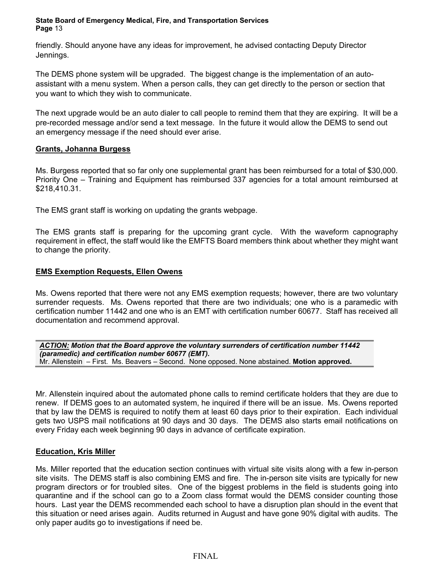friendly. Should anyone have any ideas for improvement, he advised contacting Deputy Director Jennings.

The DEMS phone system will be upgraded. The biggest change is the implementation of an autoassistant with a menu system. When a person calls, they can get directly to the person or section that you want to which they wish to communicate.

The next upgrade would be an auto dialer to call people to remind them that they are expiring. It will be a pre-recorded message and/or send a text message. In the future it would allow the DEMS to send out an emergency message if the need should ever arise.

## **Grants, Johanna Burgess**

Ms. Burgess reported that so far only one supplemental grant has been reimbursed for a total of \$30,000. Priority One – Training and Equipment has reimbursed 337 agencies for a total amount reimbursed at \$218,410.31.

The EMS grant staff is working on updating the grants webpage.

The EMS grants staff is preparing for the upcoming grant cycle. With the waveform capnography requirement in effect, the staff would like the EMFTS Board members think about whether they might want to change the priority.

# **EMS Exemption Requests, Ellen Owens**

Ms. Owens reported that there were not any EMS exemption requests; however, there are two voluntary surrender requests. Ms. Owens reported that there are two individuals; one who is a paramedic with certification number 11442 and one who is an EMT with certification number 60677. Staff has received all documentation and recommend approval.

*ACTION: Motion that the Board approve the voluntary surrenders of certification number 11442 (paramedic) and certification number 60677 (EMT).* Mr. Allenstein – First. Ms. Beavers – Second. None opposed. None abstained. **Motion approved.**

Mr. Allenstein inquired about the automated phone calls to remind certificate holders that they are due to renew. If DEMS goes to an automated system, he inquired if there will be an issue. Ms. Owens reported that by law the DEMS is required to notify them at least 60 days prior to their expiration. Each individual gets two USPS mail notifications at 90 days and 30 days. The DEMS also starts email notifications on every Friday each week beginning 90 days in advance of certificate expiration.

# **Education, Kris Miller**

Ms. Miller reported that the education section continues with virtual site visits along with a few in-person site visits. The DEMS staff is also combining EMS and fire. The in-person site visits are typically for new program directors or for troubled sites. One of the biggest problems in the field is students going into quarantine and if the school can go to a Zoom class format would the DEMS consider counting those hours. Last year the DEMS recommended each school to have a disruption plan should in the event that this situation or need arises again. Audits returned in August and have gone 90% digital with audits. The only paper audits go to investigations if need be.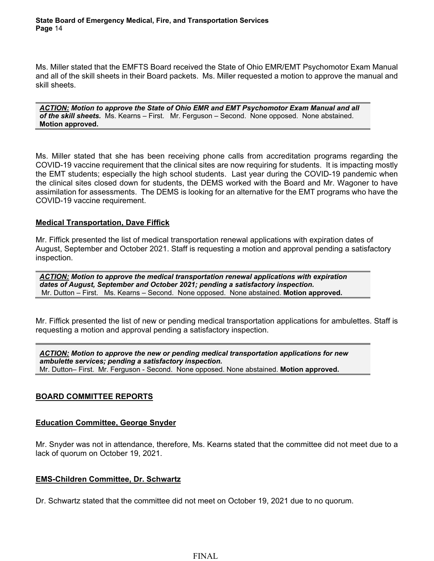Ms. Miller stated that the EMFTS Board received the State of Ohio EMR/EMT Psychomotor Exam Manual and all of the skill sheets in their Board packets. Ms. Miller requested a motion to approve the manual and skill sheets.

*ACTION: Motion to approve the State of Ohio EMR and EMT Psychomotor Exam Manual and all of the skill sheets.* Ms. Kearns – First. Mr. Ferguson – Second. None opposed. None abstained. **Motion approved.**

Ms. Miller stated that she has been receiving phone calls from accreditation programs regarding the COVID-19 vaccine requirement that the clinical sites are now requiring for students. It is impacting mostly the EMT students; especially the high school students. Last year during the COVID-19 pandemic when the clinical sites closed down for students, the DEMS worked with the Board and Mr. Wagoner to have assimilation for assessments. The DEMS is looking for an alternative for the EMT programs who have the COVID-19 vaccine requirement.

### **Medical Transportation, Dave Fiffick**

Mr. Fiffick presented the list of medical transportation renewal applications with expiration dates of August, September and October 2021. Staff is requesting a motion and approval pending a satisfactory inspection.

*ACTION: Motion to approve the medical transportation renewal applications with expiration dates of August, September and October 2021; pending a satisfactory inspection.* Mr. Dutton – First. Ms. Kearns – Second. None opposed. None abstained. **Motion approved.**

Mr. Fiffick presented the list of new or pending medical transportation applications for ambulettes. Staff is requesting a motion and approval pending a satisfactory inspection.

*ACTION: Motion to approve the new or pending medical transportation applications for new ambulette services; pending a satisfactory inspection.* Mr. Dutton– First. Mr. Ferguson - Second. None opposed. None abstained. **Motion approved.**

### **BOARD COMMITTEE REPORTS**

### **Education Committee, George Snyder**

Mr. Snyder was not in attendance, therefore, Ms. Kearns stated that the committee did not meet due to a lack of quorum on October 19, 2021.

### **EMS-Children Committee, Dr. Schwartz**

Dr. Schwartz stated that the committee did not meet on October 19, 2021 due to no quorum.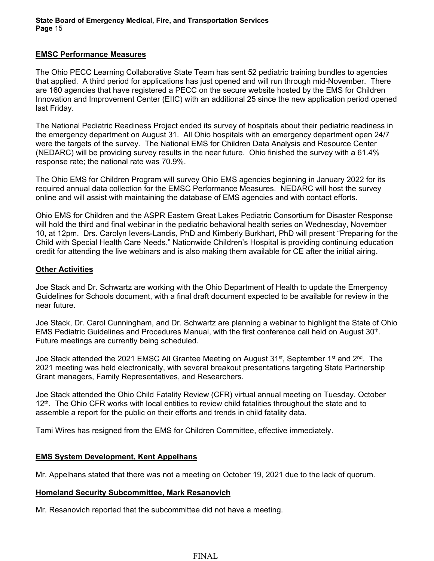## **EMSC Performance Measures**

The Ohio PECC Learning Collaborative State Team has sent 52 pediatric training bundles to agencies that applied. A third period for applications has just opened and will run through mid-November. There are 160 agencies that have registered a PECC on the secure website hosted by the EMS for Children Innovation and Improvement Center (EIIC) with an additional 25 since the new application period opened last Friday.

The National Pediatric Readiness Project ended its survey of hospitals about their pediatric readiness in the emergency department on August 31. All Ohio hospitals with an emergency department open 24/7 were the targets of the survey. The National EMS for Children Data Analysis and Resource Center (NEDARC) will be providing survey results in the near future. Ohio finished the survey with a 61.4% response rate; the national rate was 70.9%.

The Ohio EMS for Children Program will survey Ohio EMS agencies beginning in January 2022 for its required annual data collection for the EMSC Performance Measures. NEDARC will host the survey online and will assist with maintaining the database of EMS agencies and with contact efforts.

Ohio EMS for Children and the ASPR Eastern Great Lakes Pediatric Consortium for Disaster Response will hold the third and final webinar in the pediatric behavioral health series on Wednesday, November 10, at 12pm. Drs. Carolyn Ievers-Landis, PhD and Kimberly Burkhart, PhD will present "Preparing for the Child with Special Health Care Needs." Nationwide Children's Hospital is providing continuing education credit for attending the live webinars and is also making them available for CE after the initial airing.

### **Other Activities**

Joe Stack and Dr. Schwartz are working with the Ohio Department of Health to update the Emergency Guidelines for Schools document, with a final draft document expected to be available for review in the near future.

Joe Stack, Dr. Carol Cunningham, and Dr. Schwartz are planning a webinar to highlight the State of Ohio EMS Pediatric Guidelines and Procedures Manual, with the first conference call held on August 30th. Future meetings are currently being scheduled.

Joe Stack attended the 2021 EMSC All Grantee Meeting on August 31<sup>st</sup>, September 1<sup>st</sup> and 2<sup>nd</sup>. The 2021 meeting was held electronically, with several breakout presentations targeting State Partnership Grant managers, Family Representatives, and Researchers.

Joe Stack attended the Ohio Child Fatality Review (CFR) virtual annual meeting on Tuesday, October  $12<sup>th</sup>$ . The Ohio CFR works with local entities to review child fatalities throughout the state and to assemble a report for the public on their efforts and trends in child fatality data.

Tami Wires has resigned from the EMS for Children Committee, effective immediately.

# **EMS System Development, Kent Appelhans**

Mr. Appelhans stated that there was not a meeting on October 19, 2021 due to the lack of quorum.

# **Homeland Security Subcommittee, Mark Resanovich**

Mr. Resanovich reported that the subcommittee did not have a meeting.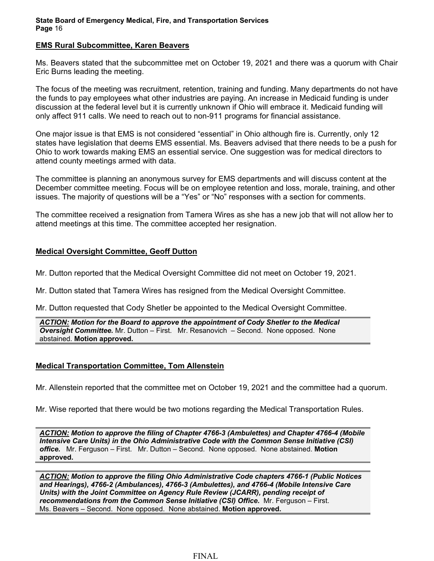### **EMS Rural Subcommittee, Karen Beavers**

Ms. Beavers stated that the subcommittee met on October 19, 2021 and there was a quorum with Chair Eric Burns leading the meeting.

The focus of the meeting was recruitment, retention, training and funding. Many departments do not have the funds to pay employees what other industries are paying. An increase in Medicaid funding is under discussion at the federal level but it is currently unknown if Ohio will embrace it. Medicaid funding will only affect 911 calls. We need to reach out to non-911 programs for financial assistance.

One major issue is that EMS is not considered "essential" in Ohio although fire is. Currently, only 12 states have legislation that deems EMS essential. Ms. Beavers advised that there needs to be a push for Ohio to work towards making EMS an essential service. One suggestion was for medical directors to attend county meetings armed with data.

The committee is planning an anonymous survey for EMS departments and will discuss content at the December committee meeting. Focus will be on employee retention and loss, morale, training, and other issues. The majority of questions will be a "Yes" or "No" responses with a section for comments.

The committee received a resignation from Tamera Wires as she has a new job that will not allow her to attend meetings at this time. The committee accepted her resignation.

## **Medical Oversight Committee, Geoff Dutton**

Mr. Dutton reported that the Medical Oversight Committee did not meet on October 19, 2021.

Mr. Dutton stated that Tamera Wires has resigned from the Medical Oversight Committee.

Mr. Dutton requested that Cody Shetler be appointed to the Medical Oversight Committee.

*ACTION: Motion for the Board to approve the appointment of Cody Shetler to the Medical Oversight Committee.* Mr. Dutton – First. Mr. Resanovich – Second. None opposed. None abstained. **Motion approved.**

# **Medical Transportation Committee, Tom Allenstein**

Mr. Allenstein reported that the committee met on October 19, 2021 and the committee had a quorum.

Mr. Wise reported that there would be two motions regarding the Medical Transportation Rules.

*ACTION: Motion to approve the filing of Chapter 4766-3 (Ambulettes) and Chapter 4766-4 (Mobile Intensive Care Units) in the Ohio Administrative Code with the Common Sense Initiative (CSI) office.* Mr. Ferguson – First. Mr. Dutton – Second. None opposed. None abstained. **Motion approved.**

*ACTION: Motion to approve the filing Ohio Administrative Code chapters 4766-1 (Public Notices and Hearings), 4766-2 (Ambulances), 4766-3 (Ambulettes), and 4766-4 (Mobile Intensive Care Units) with the Joint Committee on Agency Rule Review (JCARR), pending receipt of recommendations from the Common Sense Initiative (CSI) Office.* Mr. Ferguson – First. Ms. Beavers – Second. None opposed. None abstained. **Motion approved.**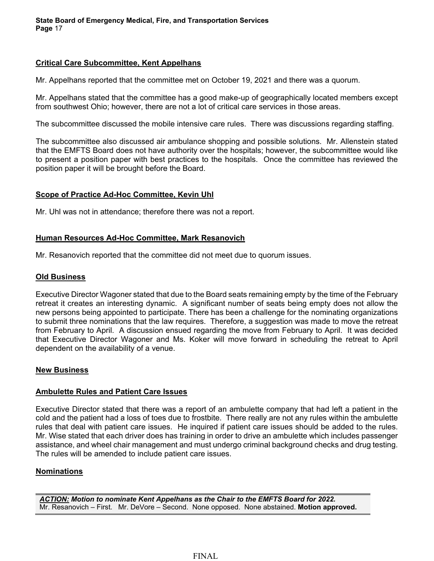## **Critical Care Subcommittee, Kent Appelhans**

Mr. Appelhans reported that the committee met on October 19, 2021 and there was a quorum.

Mr. Appelhans stated that the committee has a good make-up of geographically located members except from southwest Ohio; however, there are not a lot of critical care services in those areas.

The subcommittee discussed the mobile intensive care rules. There was discussions regarding staffing.

The subcommittee also discussed air ambulance shopping and possible solutions. Mr. Allenstein stated that the EMFTS Board does not have authority over the hospitals; however, the subcommittee would like to present a position paper with best practices to the hospitals. Once the committee has reviewed the position paper it will be brought before the Board.

## **Scope of Practice Ad-Hoc Committee, Kevin Uhl**

Mr. Uhl was not in attendance; therefore there was not a report.

### **Human Resources Ad-Hoc Committee, Mark Resanovich**

Mr. Resanovich reported that the committee did not meet due to quorum issues.

#### **Old Business**

Executive Director Wagoner stated that due to the Board seats remaining empty by the time of the February retreat it creates an interesting dynamic. A significant number of seats being empty does not allow the new persons being appointed to participate. There has been a challenge for the nominating organizations to submit three nominations that the law requires. Therefore, a suggestion was made to move the retreat from February to April. A discussion ensued regarding the move from February to April. It was decided that Executive Director Wagoner and Ms. Koker will move forward in scheduling the retreat to April dependent on the availability of a venue.

### **New Business**

### **Ambulette Rules and Patient Care Issues**

Executive Director stated that there was a report of an ambulette company that had left a patient in the cold and the patient had a loss of toes due to frostbite. There really are not any rules within the ambulette rules that deal with patient care issues. He inquired if patient care issues should be added to the rules. Mr. Wise stated that each driver does has training in order to drive an ambulette which includes passenger assistance, and wheel chair management and must undergo criminal background checks and drug testing. The rules will be amended to include patient care issues.

### **Nominations**

*ACTION: Motion to nominate Kent Appelhans as the Chair to the EMFTS Board for 2022.*  Mr. Resanovich – First. Mr. DeVore – Second. None opposed. None abstained. **Motion approved.**